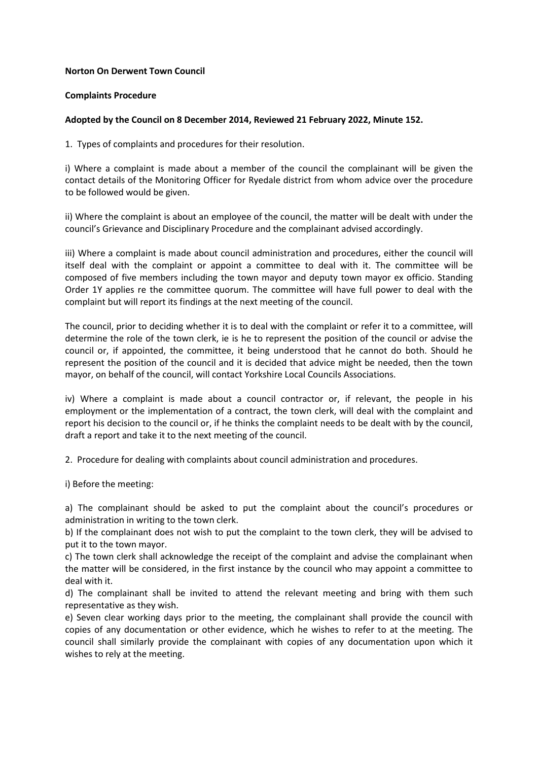## **Norton On Derwent Town Council**

## **Complaints Procedure**

## **Adopted by the Council on 8 December 2014, Reviewed 21 February 2022, Minute 152.**

1. Types of complaints and procedures for their resolution.

i) Where a complaint is made about a member of the council the complainant will be given the contact details of the Monitoring Officer for Ryedale district from whom advice over the procedure to be followed would be given.

ii) Where the complaint is about an employee of the council, the matter will be dealt with under the council's Grievance and Disciplinary Procedure and the complainant advised accordingly.

iii) Where a complaint is made about council administration and procedures, either the council will itself deal with the complaint or appoint a committee to deal with it. The committee will be composed of five members including the town mayor and deputy town mayor ex officio. Standing Order 1Y applies re the committee quorum. The committee will have full power to deal with the complaint but will report its findings at the next meeting of the council.

The council, prior to deciding whether it is to deal with the complaint or refer it to a committee, will determine the role of the town clerk, ie is he to represent the position of the council or advise the council or, if appointed, the committee, it being understood that he cannot do both. Should he represent the position of the council and it is decided that advice might be needed, then the town mayor, on behalf of the council, will contact Yorkshire Local Councils Associations.

iv) Where a complaint is made about a council contractor or, if relevant, the people in his employment or the implementation of a contract, the town clerk, will deal with the complaint and report his decision to the council or, if he thinks the complaint needs to be dealt with by the council, draft a report and take it to the next meeting of the council.

2. Procedure for dealing with complaints about council administration and procedures.

i) Before the meeting:

a) The complainant should be asked to put the complaint about the council's procedures or administration in writing to the town clerk.

b) If the complainant does not wish to put the complaint to the town clerk, they will be advised to put it to the town mayor.

c) The town clerk shall acknowledge the receipt of the complaint and advise the complainant when the matter will be considered, in the first instance by the council who may appoint a committee to deal with it.

d) The complainant shall be invited to attend the relevant meeting and bring with them such representative as they wish.

e) Seven clear working days prior to the meeting, the complainant shall provide the council with copies of any documentation or other evidence, which he wishes to refer to at the meeting. The council shall similarly provide the complainant with copies of any documentation upon which it wishes to rely at the meeting.